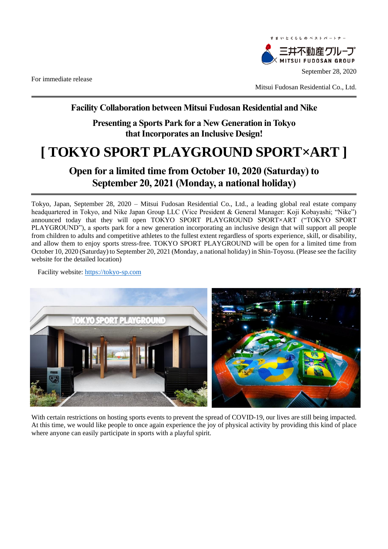For immediate release



Mitsui Fudosan Residential Co., Ltd.

## **Facility Collaboration between Mitsui Fudosan Residential and Nike**

**Presenting a Sports Park for a New Generation in Tokyo that Incorporates an Inclusive Design!**

# **[ TOKYO SPORT PLAYGROUND SPORT×ART ]**

## **Open for a limited time from October 10, 2020 (Saturday) to September 20, 2021 (Monday, a national holiday)**

Tokyo, Japan, September 28, 2020 – Mitsui Fudosan Residential Co., Ltd., a leading global real estate company headquartered in Tokyo, and Nike Japan Group LLC (Vice President & General Manager: Koji Kobayashi; "Nike") announced today that they will open TOKYO SPORT PLAYGROUND SPORT×ART ("TOKYO SPORT PLAYGROUND"), a sports park for a new generation incorporating an inclusive design that will support all people from children to adults and competitive athletes to the fullest extent regardless of sports experience, skill, or disability, and allow them to enjoy sports stress-free. TOKYO SPORT PLAYGROUND will be open for a limited time from October 10, 2020 (Saturday) to September 20, 2021 (Monday, a national holiday) in Shin-Toyosu. (Please see the facility website for the detailed location)

Facility website: [https://tokyo-sp.com](https://tokyo-sp.com/)



With certain restrictions on hosting sports events to prevent the spread of COVID-19, our lives are still being impacted. At this time, we would like people to once again experience the joy of physical activity by providing this kind of place where anyone can easily participate in sports with a playful spirit.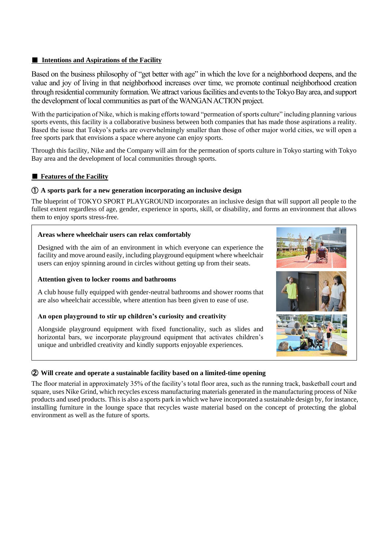#### **■ Intentions and Aspirations of the Facility**

Based on the business philosophy of "get better with age" in which the love for a neighborhood deepens, and the value and joy of living in that neighborhood increases over time, we promote continual neighborhood creation through residential community formation. We attract various facilities and events to the Tokyo Bay area, and support the development of local communities as part of the WANGAN ACTION project.

With the participation of Nike, which is making efforts toward "permeation of sports culture" including planning various sports events, this facility is a collaborative business between both companies that has made those aspirations a reality. Based the issue that Tokyo's parks are overwhelmingly smaller than those of other major world cities, we will open a free sports park that envisions a space where anyone can enjoy sports.

Through this facility, Nike and the Company will aim for the permeation of sports culture in Tokyo starting with Tokyo Bay area and the development of local communities through sports.

#### ■ **Features of the Facility**

#### ① **A sports park for a new generation incorporating an inclusive design**

The blueprint of TOKYO SPORT PLAYGROUND incorporates an inclusive design that will support all people to the fullest extent regardless of age, gender, experience in sports, skill, or disability, and forms an environment that allows them to enjoy sports stress-free.

#### **Areas where wheelchair users can relax comfortably**

Designed with the aim of an environment in which everyone can experience the facility and move around easily, including playground equipment where wheelchair users can enjoy spinning around in circles without getting up from their seats.

#### **Attention given to locker rooms and bathrooms**

A club house fully equipped with gender-neutral bathrooms and shower rooms that are also wheelchair accessible, where attention has been given to ease of use.

#### **An open playground to stir up children's curiosity and creativity**

Alongside playground equipment with fixed functionality, such as slides and horizontal bars, we incorporate playground equipment that activates children's unique and unbridled creativity and kindly supports enjoyable experiences.



#### ② **Will create and operate a sustainable facility based on a limited-time opening**

The floor material in approximately 35% of the facility's total floor area, such as the running track, basketball court and square, uses Nike Grind, which recycles excess manufacturing materials generated in the manufacturing process of Nike products and used products. This is also a sports park in which we have incorporated a sustainable design by, for instance, installing furniture in the lounge space that recycles waste material based on the concept of protecting the global environment as well as the future of sports.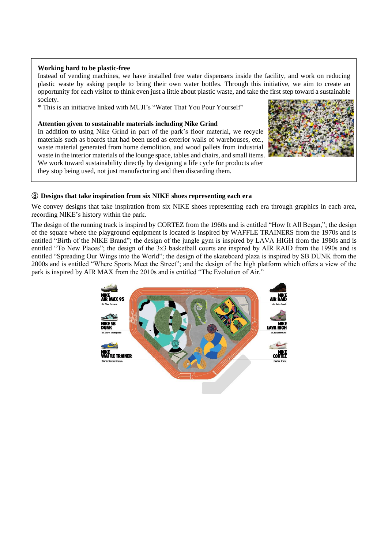#### **Working hard to be plastic-free**

Instead of vending machines, we have installed free water dispensers inside the facility, and work on reducing plastic waste by asking people to bring their own water bottles. Through this initiative, we aim to create an opportunity for each visitor to think even just a little about plastic waste, and take the first step toward a sustainable society.

\* This is an initiative linked with MUJI's "Water That You Pour Yourself"

#### **Attention given to sustainable materials including Nike Grind**

In addition to using Nike Grind in part of the park's floor material, we recycle materials such as boards that had been used as exterior walls of warehouses, etc., waste material generated from home demolition, and wood pallets from industrial waste in the interior materials of the lounge space, tables and chairs, and small items. We work toward sustainability directly by designing a life cycle for products after they stop being used, not just manufacturing and then discarding them.



#### ③ **Designs that take inspiration from six NIKE shoes representing each era**

We convey designs that take inspiration from six NIKE shoes representing each era through graphics in each area, recording NIKE's history within the park.

The design of the running track is inspired by CORTEZ from the 1960s and is entitled "How It All Began,"; the design of the square where the playground equipment is located is inspired by WAFFLE TRAINERS from the 1970s and is entitled "Birth of the NIKE Brand"; the design of the jungle gym is inspired by LAVA HIGH from the 1980s and is entitled "To New Places"; the design of the 3x3 basketball courts are inspired by AIR RAID from the 1990s and is entitled "Spreading Our Wings into the World"; the design of the skateboard plaza is inspired by SB DUNK from the 2000s and is entitled "Where Sports Meet the Street"; and the design of the high platform which offers a view of the park is inspired by AIR MAX from the 2010s and is entitled "The Evolution of Air."

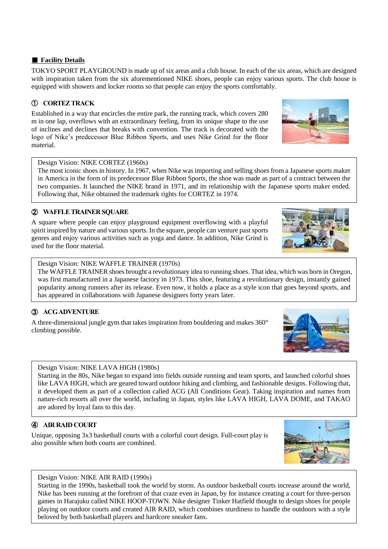#### ■ **Facility Details**

TOKYO SPORT PLAYGROUND is made up of six areas and a club house. In each of the six areas, which are designed with inspiration taken from the six aforementioned NIKE shoes, people can enjoy various sports. The club house is equipped with showers and locker rooms so that people can enjoy the sports comfortably.

## ① **CORTEZ TRACK**

Established in a way that encircles the entire park, the running track, which covers 280 m in one lap, overflows with an extraordinary feeling, from its unique shape to the use of inclines and declines that breaks with convention. The track is decorated with the logo of Nike's predecessor Blue Ribbon Sports, and uses Nike Grind for the floor material.

#### Design Vision: NIKE CORTEZ (1960s)

The most iconic shoes in history. In 1967, when Nike was importing and selling shoes from a Japanese sports maker in America in the form of its predecessor Blue Ribbon Sports, the shoe was made as part of a contract between the two companies. It launched the NIKE brand in 1971, and its relationship with the Japanese sports maker ended. Following that, Nike obtained the trademark rights for CORTEZ in 1974.

## ② **WAFFLE TRAINER SQUARE**

A square where people can enjoy playground equipment overflowing with a playful spirit inspired by nature and various sports. In the square, people can venture past sports genres and enjoy various activities such as yoga and dance. In addition, Nike Grind is used for the floor material.

#### Design Vision: NIKE WAFFLE TRAINER (1970s)

The WAFFLE TRAINER shoes brought a revolutionary idea to running shoes. That idea, which was born in Oregon, was first manufactured in a Japanese factory in 1973. This shoe, featuring a revolutionary design, instantly gained popularity among runners after its release. Even now, it holds a place as a style icon that goes beyond sports, and has appeared in collaborations with Japanese designers forty years later.

## ③ **ACG ADVENTURE**

A three-dimensional jungle gym that takes inspiration from bouldering and makes 360° climbing possible.

#### Design Vision: NIKE LAVA HIGH (1980s)

Starting in the 80s, Nike began to expand into fields outside running and team sports, and launched colorful shoes like LAVA HIGH, which are geared toward outdoor hiking and climbing, and fashionable designs. Following that, it developed them as part of a collection called ACG (All Conditions Gear). Taking inspiration and names from nature-rich resorts all over the world, including in Japan, styles like LAVA HIGH, LAVA DOME, and TAKAO are adored by loyal fans to this day.

## ④ **AIR RAID COURT**

 $\overline{\phantom{a}}$ 

Unique, opposing 3x3 basketball courts with a colorful court design. Full-court play is also possible when both courts are combined.

#### Design Vision: NIKE AIR RAID (1990s)

Starting in the 1990s, basketball took the world by storm. As outdoor basketball courts increase around the world, Nike has been running at the forefront of that craze even in Japan, by for instance creating a court for three-person games in Harajuku called NIKE HOOP-TOWN. Nike designer Tinker Hatfield thought to design shoes for people playing on outdoor courts and created AIR RAID, which combines sturdiness to handle the outdoors with a style beloved by both basketball players and hardcore sneaker fans.











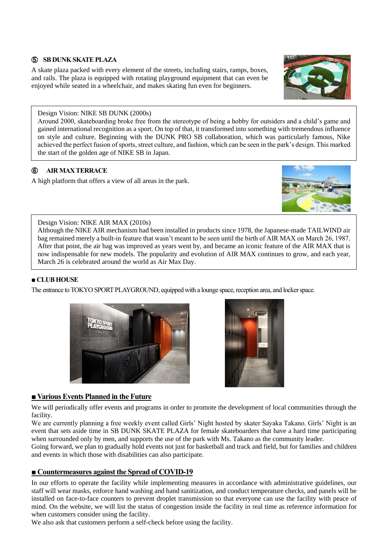### ⑤ **SB DUNK SKATEPLAZA**

A skate plaza packed with every element of the streets, including stairs, ramps, boxes, and rails. The plaza is equipped with rotating playground equipment that can even be enjoyed while seated in a wheelchair, and makes skating fun even for beginners.

#### Design Vision: NIKE SB DUNK (2000s)

Around 2000, skateboarding broke free from the stereotype of being a hobby for outsiders and a child's game and gained international recognition as a sport. On top of that, it transformed into something with tremendous influence on style and culture. Beginning with the DUNK PRO SB collaboration, which was particularly famous, Nike achieved the perfect fusion of sports, street culture, and fashion, which can be seen in the park's design. This marked the start of the golden age of NIKE SB in Japan.

## ⑥ **AIR MAX TERRACE**

A high platform that offers a view of all areas in the park.

## Design Vision: NIKE AIR MAX (2010s)

Although the NIKE AIR mechanism had been installed in products since 1978, the Japanese-made TAILWIND air bag remained merely a built-in feature that wasn't meant to be seen until the birth of AIR MAX on March 26, 1987. After that point, the air bag was improved as years went by, and became an iconic feature of the AIR MAX that is now indispensable for new models. The popularity and evolution of AIR MAX continues to grow, and each year, March 26 is celebrated around the world as Air Max Day.

#### **■ CLUB HOUSE**

The entrance to TOKYO SPORT PLAYGROUND, equipped with a lounge space, reception area, and locker space.



We will periodically offer events and programs in order to promote the development of local communities through the facility.

We are currently planning a free weekly event called Girls' Night hosted by skater Sayaka Takano. Girls' Night is an event that sets aside time in SB DUNK SKATE PLAZA for female skateboarders that have a hard time participating when surrounded only by men, and supports the use of the park with Ms. Takano as the community leader.

Going forward, we plan to gradually hold events not just for basketball and track and field, but for families and children and events in which those with disabilities can also participate.

## **■ Countermeasures against the Spread of COVID-19**

In our efforts to operate the facility while implementing measures in accordance with administrative guidelines, our staff will wear masks, enforce hand washing and hand sanitization, and conduct temperature checks, and panels will be installed on face-to-face counters to prevent droplet transmission so that everyone can use the facility with peace of mind. On the website, we will list the status of congestion inside the facility in real time as reference information for when customers consider using the facility.

We also ask that customers perform a self-check before using the facility.







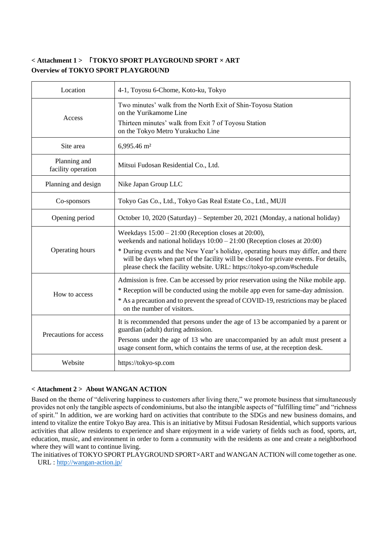## **< Attachment 1 >** 「**TOKYO SPORT PLAYGROUND SPORT × ART Overview of TOKYO SPORT PLAYGROUND**

| Location                           | 4-1, Toyosu 6-Chome, Koto-ku, Tokyo                                                                                                                                                                                                                                                                                                                                                          |
|------------------------------------|----------------------------------------------------------------------------------------------------------------------------------------------------------------------------------------------------------------------------------------------------------------------------------------------------------------------------------------------------------------------------------------------|
| Access                             | Two minutes' walk from the North Exit of Shin-Toyosu Station<br>on the Yurikamome Line<br>Thirteen minutes' walk from Exit 7 of Toyosu Station<br>on the Tokyo Metro Yurakucho Line                                                                                                                                                                                                          |
| Site area                          | 6,995.46 m <sup>2</sup>                                                                                                                                                                                                                                                                                                                                                                      |
| Planning and<br>facility operation | Mitsui Fudosan Residential Co., Ltd.                                                                                                                                                                                                                                                                                                                                                         |
| Planning and design                | Nike Japan Group LLC                                                                                                                                                                                                                                                                                                                                                                         |
| Co-sponsors                        | Tokyo Gas Co., Ltd., Tokyo Gas Real Estate Co., Ltd., MUJI                                                                                                                                                                                                                                                                                                                                   |
| Opening period                     | October 10, 2020 (Saturday) – September 20, 2021 (Monday, a national holiday)                                                                                                                                                                                                                                                                                                                |
| Operating hours                    | Weekdays $15:00 - 21:00$ (Reception closes at 20:00),<br>weekends and national holidays $10:00 - 21:00$ (Reception closes at 20:00)<br>* During events and the New Year's holiday, operating hours may differ, and there<br>will be days when part of the facility will be closed for private events. For details,<br>please check the facility website. URL: https://tokyo-sp.com/#schedule |
| How to access                      | Admission is free. Can be accessed by prior reservation using the Nike mobile app.<br>* Reception will be conducted using the mobile app even for same-day admission.<br>* As a precaution and to prevent the spread of COVID-19, restrictions may be placed<br>on the number of visitors.                                                                                                   |
| Precautions for access             | It is recommended that persons under the age of 13 be accompanied by a parent or<br>guardian (adult) during admission.<br>Persons under the age of 13 who are unaccompanied by an adult must present a<br>usage consent form, which contains the terms of use, at the reception desk.                                                                                                        |
| Website                            | https://tokyo-sp.com                                                                                                                                                                                                                                                                                                                                                                         |

#### **< Attachment 2 > About WANGAN ACTION**

Based on the theme of "delivering happiness to customers after living there," we promote business that simultaneously provides not only the tangible aspects of condominiums, but also the intangible aspects of "fulfilling time" and "richness of spirit." In addition, we are working hard on activities that contribute to the SDGs and new business domains, and intend to vitalize the entire Tokyo Bay area. This is an initiative by Mitsui Fudosan Residential, which supports various activities that allow residents to experience and share enjoyment in a wide variety of fields such as food, sports, art, education, music, and environment in order to form a community with the residents as one and create a neighborhood where they will want to continue living.

The initiatives of TOKYO SPORT PLAYGROUND SPORT×ART and WANGAN ACTION will come together as one. URL :<http://wangan-action.jp/>